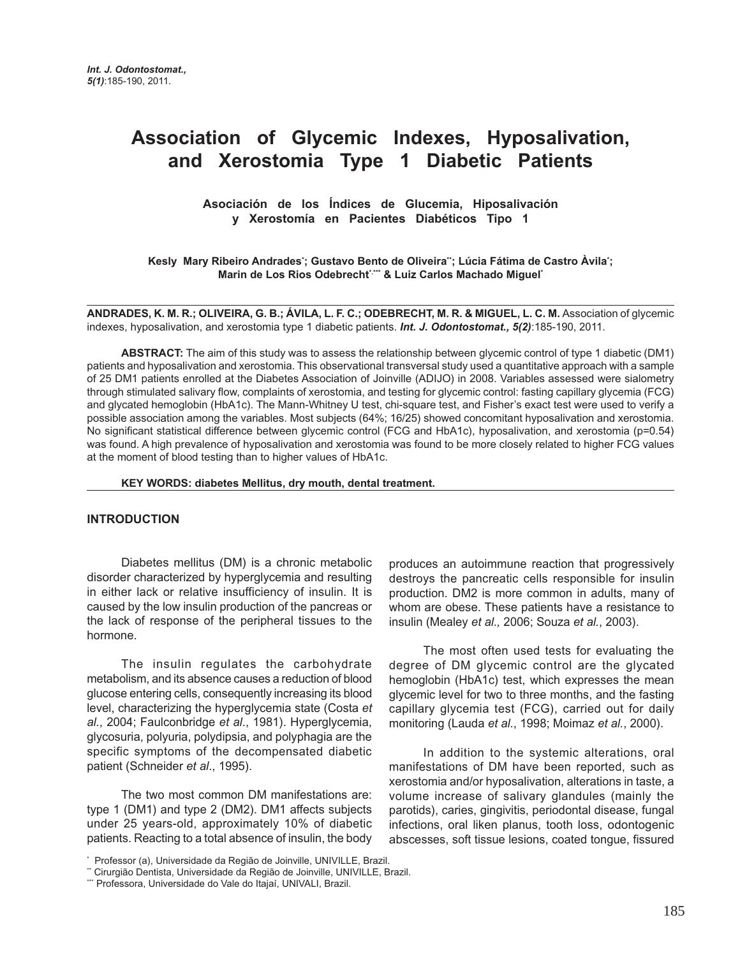# **Association of Glycemic Indexes, Hyposalivation, and Xerostomia Type 1 Diabetic Patients**

**Asociación de los Índices de Glucemia, Hiposalivación y Xerostomía en Pacientes Diabéticos Tipo 1**

Kesly Mary Ribeiro Andrades<sup>•</sup>; Gustavo Bento de Oliveira¨; Lúcia Fátima de Castro Àvila˙; Marin de Los Rios Odebrecht<sup>\*\*\*</sup> & Luiz Carlos Machado Miguel\*

ANDRADES, K. M. R.; OLIVEIRA, G. B.; ÁVILA, L. F. C.; ODEBRECHT, M. R. & MIGUEL, L. C. M. Association of glycemic indexes, hyposalivation, and xerostomia type 1 diabetic patients. *Int. J. Odontostomat., 5(2)*:185-190, 2011.

**ABSTRACT:** The aim of this study was to assess the relationship between glycemic control of type 1 diabetic (DM1) patients and hyposalivation and xerostomia. This observational transversal study used a quantitative approach with a sample of 25 DM1 patients enrolled at the Diabetes Association of Joinville (ADIJO) in 2008. Variables assessed were sialometry through stimulated salivary flow, complaints of xerostomia, and testing for glycemic control: fasting capillary glycemia (FCG) and glycated hemoglobin (HbA1c). The Mann-Whitney U test, chi-square test, and Fisher's exact test were used to verify a possible association among the variables. Most subjects (64%; 16/25) showed concomitant hyposalivation and xerostomia. No significant statistical difference between glycemic control (FCG and HbA1c), hyposalivation, and xerostomia (p=0.54) was found. A high prevalence of hyposalivation and xerostomia was found to be more closely related to higher FCG values at the moment of blood testing than to higher values of HbA1c.

#### **KEY WORDS: diabetes Mellitus, dry mouth, dental treatment.**

#### **INTRODUCTION**

Diabetes mellitus (DM) is a chronic metabolic disorder characterized by hyperglycemia and resulting in either lack or relative insufficiency of insulin. It is caused by the low insulin production of the pancreas or the lack of response of the peripheral tissues to the hormone.

The insulin regulates the carbohydrate metabolism, and its absence causes a reduction of blood glucose entering cells, consequently increasing its blood level, characterizing the hyperglycemia state (Costa *et al.*, 2004; Faulconbridge *et al*., 1981). Hyperglycemia, glycosuria, polyuria, polydipsia, and polyphagia are the specific symptoms of the decompensated diabetic patient (Schneider *et al*., 1995).

The two most common DM manifestations are: type 1 (DM1) and type 2 (DM2). DM1 affects subjects under 25 years-old, approximately 10% of diabetic patients. Reacting to a total absence of insulin, the body

The most often used tests for evaluating the degree of DM glycemic control are the glycated hemoglobin (HbA1c) test, which expresses the mean glycemic level for two to three months, and the fasting capillary glycemia test (FCG), carried out for daily monitoring (Lauda *et al.*, 1998; Moimaz *et al.*, 2000).

In addition to the systemic alterations, oral manifestations of DM have been reported, such as xerostomia and/or hyposalivation, alterations in taste, a volume increase of salivary glandules (mainly the parotids), caries, gingivitis, periodontal disease, fungal infections, oral liken planus, tooth loss, odontogenic abscesses, soft tissue lesions, coated tongue, fissured

produces an autoimmune reaction that progressively destroys the pancreatic cells responsible for insulin production. DM2 is more common in adults, many of whom are obese. These patients have a resistance to insulin (Mealey *et al.,* 2006; Souza *et al.*, 2003).

<sup>\*</sup> Professor (a), Universidade da Região de Joinville, UNIVILLE, Brazil.

<sup>\*\*</sup> Cirurgião Dentista, Universidade da Região de Joinville, UNIVILLE, Brazil.

<sup>\*\*\*</sup> Professora, Universidade do Vale do Itajaí, UNIVALI, Brazil.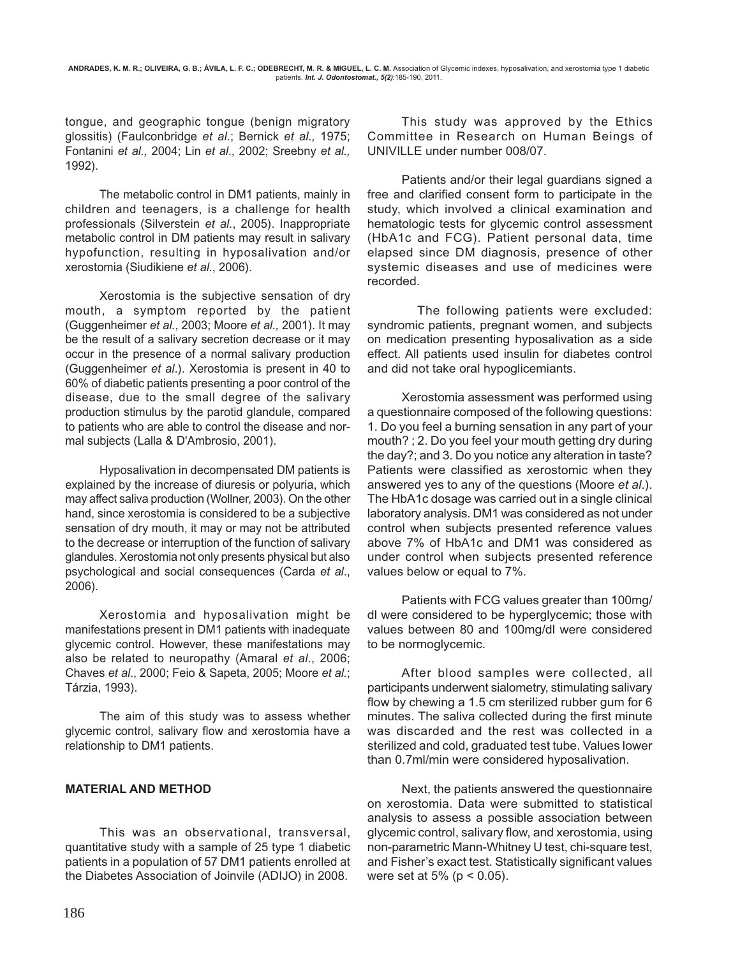tongue, and geographic tongue (benign migratory glossitis) (Faulconbridge *et al.*; Bernick *et al.,* 1975; Fontanini *et al.,* 2004; Lin *et al*., 2002; Sreebny *et al.,* 1992).

The metabolic control in DM1 patients, mainly in children and teenagers, is a challenge for health professionals (Silverstein *et al.*, 2005). Inappropriate metabolic control in DM patients may result in salivary hypofunction, resulting in hyposalivation and/or xerostomia (Siudikiene *et al.*, 2006).

Xerostomia is the subjective sensation of dry mouth, a symptom reported by the patient (Guggenheimer *et al.*, 2003; Moore *et al.,* 2001). It may be the result of a salivary secretion decrease or it may occur in the presence of a normal salivary production (Guggenheimer *et al*.). Xerostomia is present in 40 to 60% of diabetic patients presenting a poor control of the disease, due to the small degree of the salivary production stimulus by the parotid glandule, compared to patients who are able to control the disease and normal subjects (Lalla & D'Ambrosio, 2001).

Hyposalivation in decompensated DM patients is explained by the increase of diuresis or polyuria, which may affect saliva production (Wollner, 2003). On the other hand, since xerostomia is considered to be a subjective sensation of dry mouth, it may or may not be attributed to the decrease or interruption of the function of salivary glandules. Xerostomia not only presents physical but also psychological and social consequences (Carda *et al*., 2006).

Xerostomia and hyposalivation might be manifestations present in DM1 patients with inadequate glycemic control. However, these manifestations may also be related to neuropathy (Amaral *et al*., 2006; Chaves *et al*., 2000; Feio & Sapeta, 2005; Moore *et al.*; Tárzia, 1993).

The aim of this study was to assess whether glycemic control, salivary flow and xerostomia have a relationship to DM1 patients.

## **MATERIAL AND METHOD**

This was an observational, transversal, quantitative study with a sample of 25 type 1 diabetic patients in a population of 57 DM1 patients enrolled at the Diabetes Association of Joinvile (ADIJO) in 2008.

 This study was approved by the Ethics Committee in Research on Human Beings of UNIVILLE under number 008/07.

Patients and/or their legal guardians signed a free and clarified consent form to participate in the study, which involved a clinical examination and hematologic tests for glycemic control assessment (HbA1c and FCG). Patient personal data, time elapsed since DM diagnosis, presence of other systemic diseases and use of medicines were recorded.

 The following patients were excluded: syndromic patients, pregnant women, and subjects on medication presenting hyposalivation as a side effect. All patients used insulin for diabetes control and did not take oral hypoglicemiants.

Xerostomia assessment was performed using a questionnaire composed of the following questions: 1. Do you feel a burning sensation in any part of your mouth? ; 2. Do you feel your mouth getting dry during the day?; and 3. Do you notice any alteration in taste? Patients were classified as xerostomic when they answered yes to any of the questions (Moore *et al*.). The HbA1c dosage was carried out in a single clinical laboratory analysis. DM1 was considered as not under control when subjects presented reference values above 7% of HbA1c and DM1 was considered as under control when subjects presented reference values below or equal to 7%.

Patients with FCG values greater than 100mg/ dl were considered to be hyperglycemic; those with values between 80 and 100mg/dl were considered to be normoglycemic.

After blood samples were collected, all participants underwent sialometry, stimulating salivary flow by chewing a 1.5 cm sterilized rubber gum for 6 minutes. The saliva collected during the first minute was discarded and the rest was collected in a sterilized and cold, graduated test tube. Values lower than 0.7ml/min were considered hyposalivation.

Next, the patients answered the questionnaire on xerostomia. Data were submitted to statistical analysis to assess a possible association between glycemic control, salivary flow, and xerostomia, using non-parametric Mann-Whitney U test, chi-square test, and Fisher's exact test. Statistically significant values were set at  $5% (p < 0.05)$ .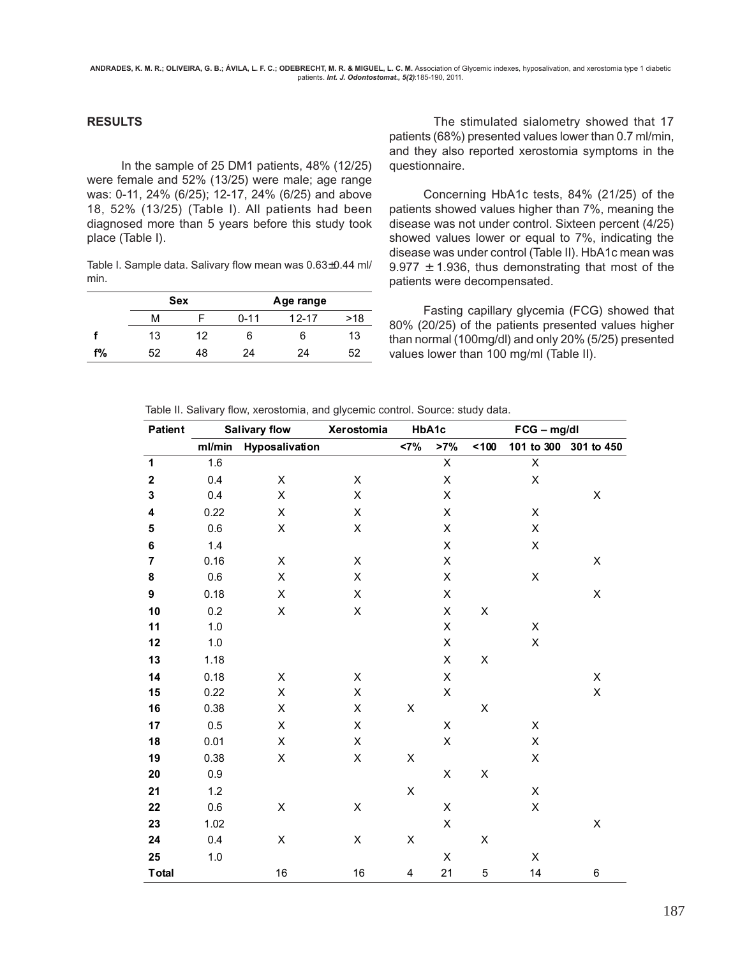#### **RESULTS**

In the sample of 25 DM1 patients, 48% (12/25) were female and 52% (13/25) were male; age range was: 0-11, 24% (6/25); 12-17, 24% (6/25) and above 18, 52% (13/25) (Table I). All patients had been diagnosed more than 5 years before this study took place (Table I).

Table I. Sample data. Salivary flow mean was 0.63±0.44 ml/ min.

|    |    | <b>Sex</b> | Age range |       |     |  |  |
|----|----|------------|-----------|-------|-----|--|--|
|    | м  |            | $0 - 11$  | 12-17 | >18 |  |  |
|    | 13 | 12         | 6         | 6     | 13  |  |  |
| f% | 52 | 48         | 24        | 24    | 52  |  |  |

 The stimulated sialometry showed that 17 patients (68%) presented values lower than 0.7 ml/min, and they also reported xerostomia symptoms in the questionnaire.

Concerning HbA1c tests, 84% (21/25) of the patients showed values higher than 7%, meaning the disease was not under control. Sixteen percent (4/25) showed values lower or equal to 7%, indicating the disease was under control (Table II). HbA1c mean was  $9.977 \pm 1.936$ , thus demonstrating that most of the patients were decompensated.

Fasting capillary glycemia (FCG) showed that 80% (20/25) of the patients presented values higher than normal (100mg/dl) and only 20% (5/25) presented values lower than 100 mg/ml (Table II).

Table II. Salivary flow, xerostomia, and glycemic control. Source: study data.

| <b>Patient</b>          | <b>Salivary flow</b> |                | Xerostomia  | HbA1c       |                         | FCG - mg/dl |                         |                       |
|-------------------------|----------------------|----------------|-------------|-------------|-------------------------|-------------|-------------------------|-----------------------|
|                         | ml/min               | Hyposalivation |             | <7%         | $>7\%$                  | 100         |                         | 101 to 300 301 to 450 |
| $\mathbf{1}$            | 1.6                  |                |             |             | $\overline{\mathsf{X}}$ |             | $\overline{\mathsf{x}}$ |                       |
| $\mathbf 2$             | 0.4                  | X              | X           |             | $\mathsf X$             |             | Χ                       |                       |
| 3                       | 0.4                  | X              | $\mathsf X$ |             | X                       |             |                         | X                     |
| 4                       | 0.22                 | X              | X           |             | X                       |             | X                       |                       |
| 5                       | 0.6                  | $\mathsf X$    | X           |             | X                       |             | X                       |                       |
| 6                       | 1.4                  |                |             |             | X                       |             | X                       |                       |
| $\overline{\mathbf{r}}$ | 0.16                 | X              | X           |             | X                       |             |                         | X                     |
| 8                       | 0.6                  | X              | X           |             | $\mathsf X$             |             | $\mathsf X$             |                       |
| 9                       | 0.18                 | X              | X           |             | $\mathsf X$             |             |                         | X                     |
| 10                      | 0.2                  | $\mathsf X$    | $\mathsf X$ |             | X                       | Χ           |                         |                       |
| 11                      | 1.0                  |                |             |             | Χ                       |             | X                       |                       |
| 12                      | $1.0$                |                |             |             | $\mathsf X$             |             | X                       |                       |
| 13                      | 1.18                 |                |             |             | X                       | Χ           |                         |                       |
| 14                      | 0.18                 | X              | X           |             | X                       |             |                         | X                     |
| 15                      | 0.22                 | X              | $\mathsf X$ |             | X                       |             |                         | $\sf X$               |
| 16                      | 0.38                 | X              | X           | Χ           |                         | Χ           |                         |                       |
| 17                      | 0.5                  | X              | X           |             | X                       |             | X                       |                       |
| 18                      | 0.01                 | X              | X           |             | Χ                       |             | X                       |                       |
| 19                      | 0.38                 | X              | $\mathsf X$ | $\mathsf X$ |                         |             | $\pmb{\times}$          |                       |
| 20                      | 0.9                  |                |             |             | Χ                       | Χ           |                         |                       |
| 21                      | 1.2                  |                |             | $\mathsf X$ |                         |             | X                       |                       |
| 22                      | 0.6                  | X              | X           |             | X                       |             | $\pmb{\times}$          |                       |
| 23                      | 1.02                 |                |             |             | Χ                       |             |                         | Χ                     |
| 24                      | 0.4                  | X              | $\mathsf X$ | X           |                         | X           |                         |                       |
| 25                      | 1.0                  |                |             |             | X                       |             | X                       |                       |
| <b>Total</b>            |                      | 16             | 16          | 4           | 21                      | 5           | 14                      | $\,6$                 |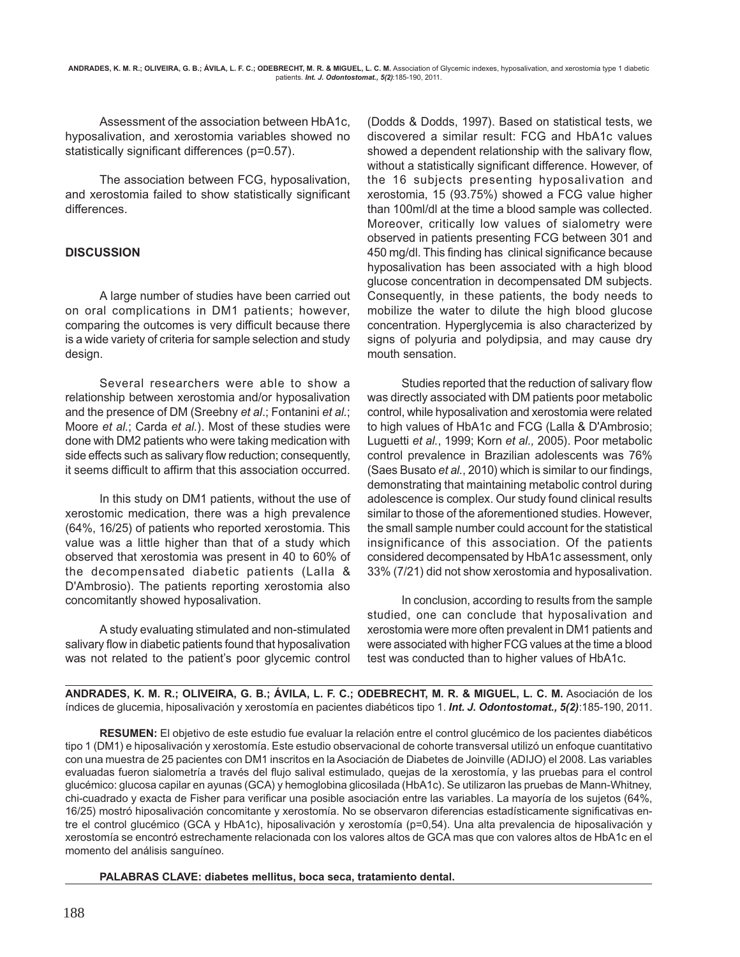Assessment of the association between HbA1c, hyposalivation, and xerostomia variables showed no statistically significant differences (p=0.57).

The association between FCG, hyposalivation, and xerostomia failed to show statistically significant differences.

## **DISCUSSION**

A large number of studies have been carried out on oral complications in DM1 patients; however, comparing the outcomes is very difficult because there is a wide variety of criteria for sample selection and study design.

Several researchers were able to show a relationship between xerostomia and/or hyposalivation and the presence of DM (Sreebny *et al*.; Fontanini *et al.*; Moore *et al.*; Carda *et al.*). Most of these studies were done with DM2 patients who were taking medication with side effects such as salivary flow reduction; consequently, it seems difficult to affirm that this association occurred.

In this study on DM1 patients, without the use of xerostomic medication, there was a high prevalence (64%, 16/25) of patients who reported xerostomia. This value was a little higher than that of a study which observed that xerostomia was present in 40 to 60% of the decompensated diabetic patients (Lalla & D'Ambrosio). The patients reporting xerostomia also concomitantly showed hyposalivation.

A study evaluating stimulated and non-stimulated salivary flow in diabetic patients found that hyposalivation was not related to the patient's poor glycemic control (Dodds & Dodds, 1997). Based on statistical tests, we discovered a similar result: FCG and HbA1c values showed a dependent relationship with the salivary flow, without a statistically significant difference. However, of the 16 subjects presenting hyposalivation and xerostomia, 15 (93.75%) showed a FCG value higher than 100ml/dl at the time a blood sample was collected. Moreover, critically low values of sialometry were observed in patients presenting FCG between 301 and 450 mg/dl. This finding has clinical significance because hyposalivation has been associated with a high blood glucose concentration in decompensated DM subjects. Consequently, in these patients, the body needs to mobilize the water to dilute the high blood glucose concentration. Hyperglycemia is also characterized by signs of polyuria and polydipsia, and may cause dry mouth sensation.

Studies reported that the reduction of salivary flow was directly associated with DM patients poor metabolic control, while hyposalivation and xerostomia were related to high values of HbA1c and FCG (Lalla & D'Ambrosio; Luguetti *et al.*, 1999; Korn *et al.,* 2005). Poor metabolic control prevalence in Brazilian adolescents was 76% (Saes Busato *et al.*, 2010) which is similar to our findings, demonstrating that maintaining metabolic control during adolescence is complex. Our study found clinical results similar to those of the aforementioned studies. However, the small sample number could account for the statistical insignificance of this association. Of the patients considered decompensated by HbA1c assessment, only 33% (7/21) did not show xerostomia and hyposalivation.

In conclusion, according to results from the sample studied, one can conclude that hyposalivation and xerostomia were more often prevalent in DM1 patients and were associated with higher FCG values at the time a blood test was conducted than to higher values of HbA1c.

**ANDRADES, K. M. R.; OLIVEIRA, G. B.; ÁVILA, L. F. C.; ODEBRECHT, M. R. & MIGUEL, L. C. M.** Asociación de los índices de glucemia, hiposalivación y xerostomía en pacientes diabéticos tipo 1. *Int. J. Odontostomat., 5(2)*:185-190, 2011.

**RESUMEN:** El objetivo de este estudio fue evaluar la relación entre el control glucémico de los pacientes diabéticos tipo 1 (DM1) e hiposalivación y xerostomía. Este estudio observacional de cohorte transversal utilizó un enfoque cuantitativo con una muestra de 25 pacientes con DM1 inscritos en la Asociación de Diabetes de Joinville (ADIJO) el 2008. Las variables evaluadas fueron sialometría a través del flujo salival estimulado, quejas de la xerostomía, y las pruebas para el control glucémico: glucosa capilar en ayunas (GCA) y hemoglobina glicosilada (HbA1c). Se utilizaron las pruebas de Mann-Whitney, chi-cuadrado y exacta de Fisher para verificar una posible asociación entre las variables. La mayoría de los sujetos (64%, 16/25) mostró hiposalivación concomitante y xerostomía. No se observaron diferencias estadísticamente significativas entre el control glucémico (GCA y HbA1c), hiposalivación y xerostomía (p=0,54). Una alta prevalencia de hiposalivación y xerostomía se encontró estrechamente relacionada con los valores altos de GCA mas que con valores altos de HbA1c en el momento del análisis sanguíneo.

**PALABRAS CLAVE: diabetes mellitus, boca seca, tratamiento dental.**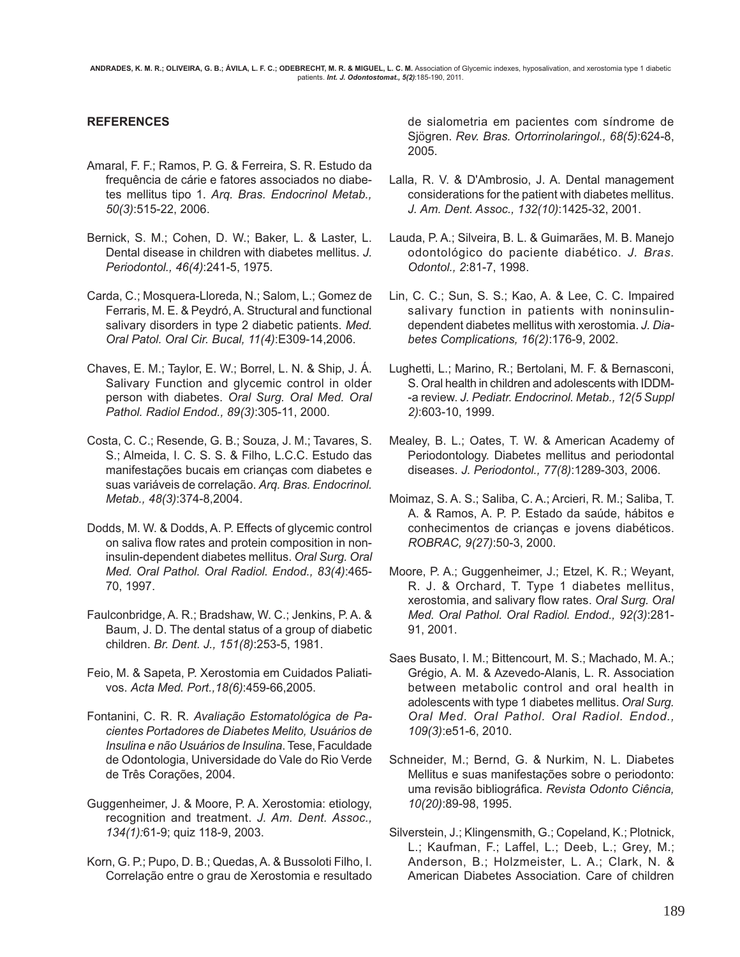### **REFERENCES**

- Amaral, F. F.; Ramos, P. G. & Ferreira, S. R. Estudo da frequência de cárie e fatores associados no diabetes mellitus tipo 1. *Arq. Bras. Endocrinol Metab., 50(3)*:515-22, 2006.
- Bernick, S. M.; Cohen, D. W.; Baker, L. & Laster, L. Dental disease in children with diabetes mellitus. *J. Periodontol., 46(4)*:241-5, 1975.
- Carda, C.; Mosquera-Lloreda, N.; Salom, L.; Gomez de Ferraris, M. E. & Peydró, A. Structural and functional salivary disorders in type 2 diabetic patients. *Med. Oral Patol. Oral Cir. Bucal, 11(4)*:E309-14,2006.
- Chaves, E. M.; Taylor, E. W.; Borrel, L. N. & Ship, J. Á. Salivary Function and glycemic control in older person with diabetes. *Oral Surg. Oral Med. Oral Pathol. Radiol Endod., 89(3)*:305-11, 2000.
- Costa, C. C.; Resende, G. B.; Souza, J. M.; Tavares, S. S.; Almeida, I. C. S. S. & Filho, L.C.C. Estudo das manifestações bucais em crianças com diabetes e suas variáveis de correlação. *Arq. Bras. Endocrinol. Metab., 48(3)*:374-8,2004.
- Dodds, M. W. & Dodds, A. P. Effects of glycemic control on saliva flow rates and protein composition in noninsulin-dependent diabetes mellitus. *Oral Surg. Oral Med. Oral Pathol. Oral Radiol. Endod., 83(4)*:465- 70, 1997.
- Faulconbridge, A. R.; Bradshaw, W. C.; Jenkins, P. A. & Baum, J. D. The dental status of a group of diabetic children. *Br. Dent. J., 151(8)*:253-5, 1981.
- Feio, M. & Sapeta, P. Xerostomia em Cuidados Paliativos. *Acta Med. Port.,18(6)*:459-66,2005.
- Fontanini, C. R. R. *Avaliação Estomatológica de Pacientes Portadores de Diabetes Melito, Usuários de Insulina e não Usuários de Insulina*. Tese, Faculdade de Odontologia, Universidade do Vale do Rio Verde de Três Corações, 2004.
- Guggenheimer, J. & Moore, P. A. Xerostomia: etiology, recognition and treatment. *J. Am. Dent. Assoc., 134(1):*61-9; quiz 118-9, 2003.
- Korn, G. P.; Pupo, D. B.; Quedas, A. & Bussoloti Filho, I. Correlação entre o grau de Xerostomia e resultado

de sialometria em pacientes com síndrome de Sjögren. *Rev. Bras. Ortorrinolaringol., 68(5)*:624-8, 2005.

- Lalla, R. V. & D'Ambrosio, J. A. Dental management considerations for the patient with diabetes mellitus. *J. Am. Dent. Assoc., 132(10)*:1425-32, 2001.
- Lauda, P. A.; Silveira, B. L. & Guimarães, M. B. Manejo odontológico do paciente diabético. *J. Bras. Odontol., 2*:81-7, 1998.
- Lin, C. C.; Sun, S. S.; Kao, A. & Lee, C. C. Impaired salivary function in patients with noninsulindependent diabetes mellitus with xerostomia. *J. Diabetes Complications, 16(2)*:176-9, 2002.
- Lughetti, L.; Marino, R.; Bertolani, M. F. & Bernasconi, S. Oral health in children and adolescents with IDDM- -a review. *J. Pediatr. Endocrinol. Metab., 12(5 Suppl 2)*:603-10, 1999.
- Mealey, B. L.; Oates, T. W. & American Academy of Periodontology. Diabetes mellitus and periodontal diseases. *J. Periodontol., 77(8)*:1289-303, 2006.
- Moimaz, S. A. S.; Saliba, C. A.; Arcieri, R. M.; Saliba, T. A. & Ramos, A. P. P. Estado da saúde, hábitos e conhecimentos de crianças e jovens diabéticos. *ROBRAC, 9(27)*:50-3, 2000.
- Moore, P. A.; Guggenheimer, J.; Etzel, K. R.; Weyant, R. J. & Orchard, T. Type 1 diabetes mellitus, xerostomia, and salivary flow rates. *Oral Surg. Oral Med. Oral Pathol. Oral Radiol. Endod., 92(3)*:281- 91, 2001.
- Saes Busato, I. M.; Bittencourt, M. S.; Machado, M. A.; Grégio, A. M. & Azevedo-Alanis, L. R. Association between metabolic control and oral health in adolescents with type 1 diabetes mellitus. *Oral Surg. Oral Med. Oral Pathol. Oral Radiol. Endod., 109(3)*:e51-6, 2010.
- Schneider, M.; Bernd, G. & Nurkim, N. L. Diabetes Mellitus e suas manifestações sobre o periodonto: uma revisão bibliográfica. *Revista Odonto Ciência, 10(20)*:89-98, 1995.
- Silverstein, J.; Klingensmith, G.; Copeland, K.; Plotnick, L.; Kaufman, F.; Laffel, L.; Deeb, L.; Grey, M.; Anderson, B.; Holzmeister, L. A.; Clark, N. & American Diabetes Association. Care of children